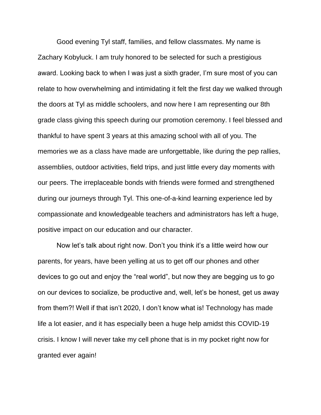Good evening Tyl staff, families, and fellow classmates. My name is Zachary Kobyluck. I am truly honored to be selected for such a prestigious award. Looking back to when I was just a sixth grader, I'm sure most of you can relate to how overwhelming and intimidating it felt the first day we walked through the doors at Tyl as middle schoolers, and now here I am representing our 8th grade class giving this speech during our promotion ceremony. I feel blessed and thankful to have spent 3 years at this amazing school with all of you. The memories we as a class have made are unforgettable, like during the pep rallies, assemblies, outdoor activities, field trips, and just little every day moments with our peers. The irreplaceable bonds with friends were formed and strengthened during our journeys through Tyl. This one-of-a-kind learning experience led by compassionate and knowledgeable teachers and administrators has left a huge, positive impact on our education and our character.

Now let's talk about right now. Don't you think it's a little weird how our parents, for years, have been yelling at us to get off our phones and other devices to go out and enjoy the "real world", but now they are begging us to go on our devices to socialize, be productive and, well, let's be honest, get us away from them?! Well if that isn't 2020, I don't know what is! Technology has made life a lot easier, and it has especially been a huge help amidst this COVID-19 crisis. I know I will never take my cell phone that is in my pocket right now for granted ever again!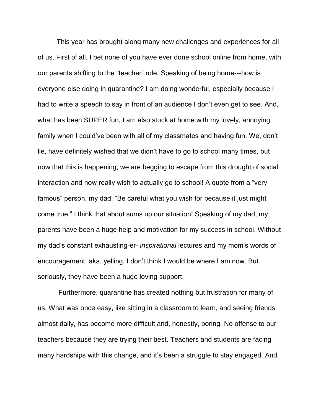This year has brought along many new challenges and experiences for all of us. First of all, I bet none of you have ever done school online from home, with our parents shifting to the "teacher" role. Speaking of being home---how is everyone else doing in quarantine? I am doing wonderful, especially because I had to write a speech to say in front of an audience I don't even get to see. And, what has been SUPER fun, I am also stuck at home with my lovely, annoying family when I could've been with all of my classmates and having fun. We, don't lie, have definitely wished that we didn't have to go to school many times, but now that this is happening, we are begging to escape from this drought of social interaction and now really wish to actually go to school! A quote from a "very famous" person, my dad: "Be careful what you wish for because it just might come true." I think that about sums up our situation! Speaking of my dad, my parents have been a huge help and motivation for my success in school. Without my dad's constant exhausting-er- *inspirational* lectures and my mom's words of encouragement, aka, yelling, I don't think I would be where I am now. But seriously, they have been a huge loving support.

Furthermore, quarantine has created nothing but frustration for many of us. What was once easy, like sitting in a classroom to learn, and seeing friends almost daily, has become more difficult and, honestly, boring. No offense to our teachers because they are trying their best. Teachers and students are facing many hardships with this change, and it's been a struggle to stay engaged. And,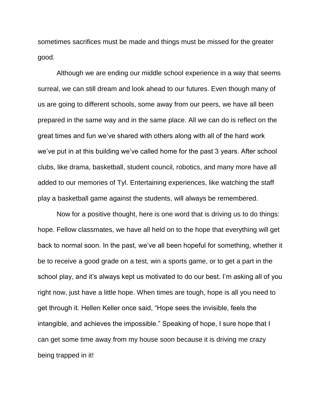sometimes sacrifices must be made and things must be missed for the greater good.

Although we are ending our middle school experience in a way that seems surreal, we can still dream and look ahead to our futures. Even though many of us are going to different schools, some away from our peers, we have all been prepared in the same way and in the same place. All we can do is reflect on the great times and fun we've shared with others along with all of the hard work we've put in at this building we've called home for the past 3 years. After school clubs, like drama, basketball, student council, robotics, and many more have all added to our memories of Tyl. Entertaining experiences, like watching the staff play a basketball game against the students, will always be remembered.

Now for a positive thought, here is one word that is driving us to do things: hope. Fellow classmates, we have all held on to the hope that everything will get back to normal soon. In the past, we've all been hopeful for something, whether it be to receive a good grade on a test, win a sports game, or to get a part in the school play, and it's always kept us motivated to do our best. I'm asking all of you right now, just have a little hope. When times are tough, hope is all you need to get through it. Hellen Keller once said, "Hope sees the invisible, feels the intangible, and achieves the impossible." Speaking of hope, I sure hope that I can get some time away from my house soon because it is driving me crazy being trapped in it!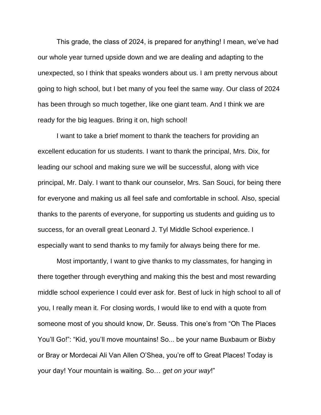This grade, the class of 2024, is prepared for anything! I mean, we've had our whole year turned upside down and we are dealing and adapting to the unexpected, so I think that speaks wonders about us. I am pretty nervous about going to high school, but I bet many of you feel the same way. Our class of 2024 has been through so much together, like one giant team. And I think we are ready for the big leagues. Bring it on, high school!

I want to take a brief moment to thank the teachers for providing an excellent education for us students. I want to thank the principal, Mrs. Dix, for leading our school and making sure we will be successful, along with vice principal, Mr. Daly. I want to thank our counselor, Mrs. San Souci, for being there for everyone and making us all feel safe and comfortable in school. Also, special thanks to the parents of everyone, for supporting us students and guiding us to success, for an overall great Leonard J. Tyl Middle School experience. I especially want to send thanks to my family for always being there for me.

Most importantly, I want to give thanks to my classmates, for hanging in there together through everything and making this the best and most rewarding middle school experience I could ever ask for. Best of luck in high school to all of you, I really mean it. For closing words, I would like to end with a quote from someone most of you should know, Dr. Seuss. This one's from "Oh The Places You'll Go!": "Kid, you'll move mountains! So... be your name Buxbaum or Bixby or Bray or Mordecai Ali Van Allen O'Shea, you're off to Great Places! Today is your day! Your mountain is waiting. So… *get on your way*!"